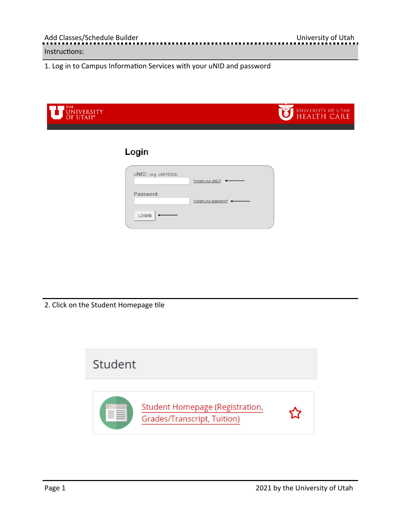1. Log in to Campus Information Services with your uNID and password

| THE<br>UNIVERSITY<br>OF UTAH* |                                                      | UNIVERSITY OF UTAH<br>HEALTH CARE |
|-------------------------------|------------------------------------------------------|-----------------------------------|
|                               | Login                                                |                                   |
|                               | UNID: (e.g. u8675309)<br>Forgot your uNID? <         |                                   |
|                               | Password:<br>Forgot your password? <<br><b>LOGIN</b> |                                   |
|                               |                                                      |                                   |

2. Click on the Student Homepage tile

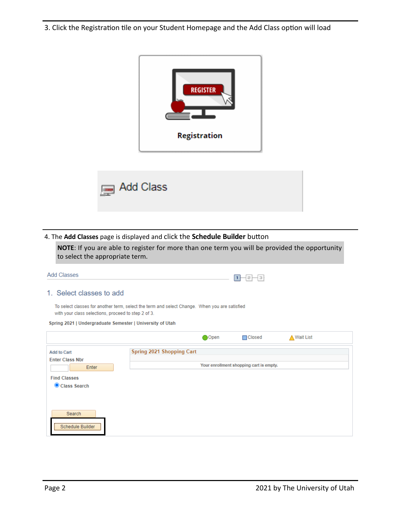3. Click the Registration tile on your Student Homepage and the Add Class option will load





## 4. The Add Classes page is displayed and click the Schedule Builder button

**NOTE**: If you are able to register for more than one term you will be provided the opportunity to select the appropriate term.

| Add Classes                                                                                                                                          |                           |       | - [크]<br>łеı                            |             |  |
|------------------------------------------------------------------------------------------------------------------------------------------------------|---------------------------|-------|-----------------------------------------|-------------|--|
| 1. Select classes to add                                                                                                                             |                           |       |                                         |             |  |
| To select classes for another term, select the term and select Change. When you are satisfied<br>with your class selections, proceed to step 2 of 3. |                           |       |                                         |             |  |
| Spring 2021   Undergraduate Semester   University of Utah                                                                                            |                           |       |                                         |             |  |
|                                                                                                                                                      |                           | ∩Open | $\Box$ Closed                           | ∧ Wait List |  |
| <b>Add to Cart</b>                                                                                                                                   | Spring 2021 Shopping Cart |       |                                         |             |  |
| <b>Enter Class Nbr</b><br>Enter                                                                                                                      |                           |       | Your enrollment shopping cart is empty. |             |  |
| <b>Find Classes</b>                                                                                                                                  |                           |       |                                         |             |  |
| Class Search                                                                                                                                         |                           |       |                                         |             |  |
|                                                                                                                                                      |                           |       |                                         |             |  |

Search

Schedule Builder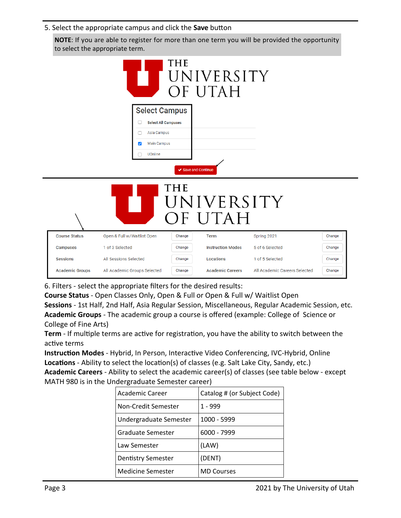## 5. Select the appropriate campus and click the **Save** button

**NOTE**: If you are able to register for more than one term you will be provided the opportunity to select the appropriate term.

|                      | M                               | <b>THE</b>          | UNIVERSITY<br>OF UTAH    |                 |        |
|----------------------|---------------------------------|---------------------|--------------------------|-----------------|--------|
|                      | <b>Select Campus</b>            |                     |                          |                 |        |
|                      | <b>Select All Campuses</b><br>U |                     |                          |                 |        |
|                      | Asia Campus                     |                     |                          |                 |        |
|                      | <b>Main Campus</b><br>☑         |                     |                          |                 |        |
|                      | UOnline                         |                     |                          |                 |        |
|                      |                                 | ✔ Save and Continue |                          |                 |        |
|                      |                                 | THE                 | UNIVERSITY<br>OF UTAH    |                 |        |
| <b>Course Status</b> | Open & Full w/Waitlist Open     | Change              | <b>Term</b>              | Spring 2021     | Change |
| Campuses             | 1 of 3 Selected                 | Change              | <b>Instruction Modes</b> | 5 of 6 Selected | Change |
| <b>Sessions</b>      | All Sessions Selected           | Change              | Locations                | 1 of 5 Selected |        |
|                      |                                 |                     |                          |                 | Change |

6. Filters ‐ select the appropriate filters for the desired results:

**Course Status** ‐ Open Classes Only, Open & Full or Open & Full w/ Waitlist Open

**Sessions** ‐ 1st Half, 2nd Half, Asia Regular Session, Miscellaneous, Regular Academic Session, etc. **Academic Groups** ‐ The academic group a course is offered (example: College of Science or College of Fine Arts)

Term - If multiple terms are active for registration, you have the ability to switch between the active terms

**Instruction Modes** - Hybrid, In Person, Interactive Video Conferencing, IVC-Hybrid, Online **Locations** - Ability to select the location(s) of classes (e.g. Salt Lake City, Sandy, etc.)

**Academic Careers** ‐ Ability to select the academic career(s) of classes (see table below ‐ except MATH 980 is in the Undergraduate Semester career)

| Academic Career           | Catalog # (or Subject Code) |
|---------------------------|-----------------------------|
| Non-Credit Semester       | 1 - 999                     |
| Undergraduate Semester    | 1000 - 5999                 |
| Graduate Semester         | 6000 - 7999                 |
| Law Semester              | (LAW)                       |
| <b>Dentistry Semester</b> | (DENT)                      |
| Medicine Semester         | <b>MD</b> Courses           |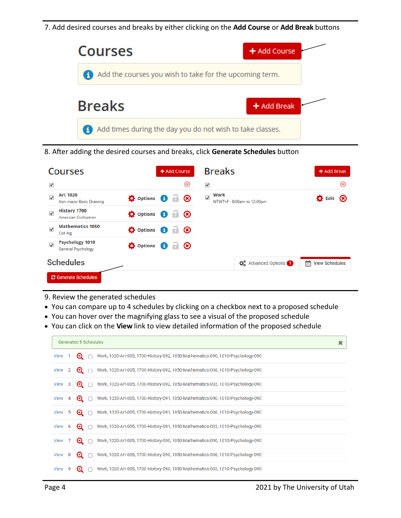7. Add desired courses and breaks by either clicking on the Add Course or Add Break buttons



8. After adding the desired courses and breaks, click Generate Schedules button

| <b>Courses</b>                                                      | + Add Course                                          | <b>Breaks</b>                                       | + Add Break                     |
|---------------------------------------------------------------------|-------------------------------------------------------|-----------------------------------------------------|---------------------------------|
| √                                                                   | ⊛                                                     | √                                                   | $\circledast$                   |
| <b>Art 1020</b><br>✓<br>Non major Basic Drawing                     | <b>D</b> Options<br>$\mathbf G$<br>$\circledast$      | Work<br>✔<br>MTWThF - 8:00am to 12:00pm             | $\bullet$ Edit<br>$\circledast$ |
| <b>History 1700</b><br>$\checkmark$<br><b>American Civilization</b> | <b>D</b> Options<br>$\circledast$<br>$\mathbf \Theta$ |                                                     |                                 |
| <b>Mathematics 1050</b><br>$\checkmark$<br>Coll Alg                 | <b>D</b> Options<br>$\circledast$<br>O                |                                                     |                                 |
| <b>Psychology 1010</b><br>$\checkmark$<br><b>General Psychology</b> | $\circledast$<br><b>D</b> Options<br>$\bullet$        |                                                     |                                 |
| <b>Schedules</b>                                                    |                                                       | <b>C</b> <sub>n</sub> <sup>8</sup> Advanced Options | 鱛<br><b>View Schedules</b>      |
| <b>C</b> Generate Schedules                                         |                                                       |                                                     |                                 |

- 9. Review the generated schedules
- You can compare up to 4 schedules by clicking on a checkbox next to a proposed schedule
- You can hover over the magnifying glass to see a visual of the proposed schedule
- You can click on the View link to view detailed information of the proposed schedule

|        |                | <b>Generated 9 Schedules</b> |                                                                                            | × |
|--------|----------------|------------------------------|--------------------------------------------------------------------------------------------|---|
| View 1 |                | $\bullet$ $\Box$             | Work, 1020-Art-005, 1700-History-092, 1050-Mathematics-090, 1010-Psychology-090            |   |
| View   | 2              | $\bullet$ $\Box$             | Work, 1020-Art-005, 1700-History-092, 1050-Mathematics-006, 1010-Psychology-090            |   |
| View   | -3             | $\bullet$ $\Box$             | Work, 1020-Art-005, 1700-History-092, 1050-Mathematics-003, 1010-Psychology-090            |   |
| View   | $\overline{4}$ |                              | <b>⊙</b> ∩ Work, 1020-Art-005, 1700-History-091, 1050-Mathematics-090, 1010-Psychology-090 |   |
| View   | 5              | $\bullet$ $\Box$             | Work, 1020-Art-005, 1700-History-091, 1050-Mathematics-006, 1010-Psychology-090            |   |
| View   | 6              | $\bullet$ $\Box$             | Work, 1020-Art-005, 1700-History-091, 1050-Mathematics-003, 1010-Psychology-090            |   |
| View   |                | $\mathbf{\Theta}$ $\Box$     | Work, 1020-Art-005, 1700-History-090, 1050-Mathematics-090, 1010-Psychology-090            |   |
| View 8 |                | $\mathbf{\Theta}$ $\Box$     | Work, 1020-Art-005, 1700-History-090, 1050-Mathematics-006, 1010-Psychology-090            |   |
| View   | 9              | ⊕                            | Work, 1020-Art-005, 1700-History-090, 1050-Mathematics-003, 1010-Psychology-090            |   |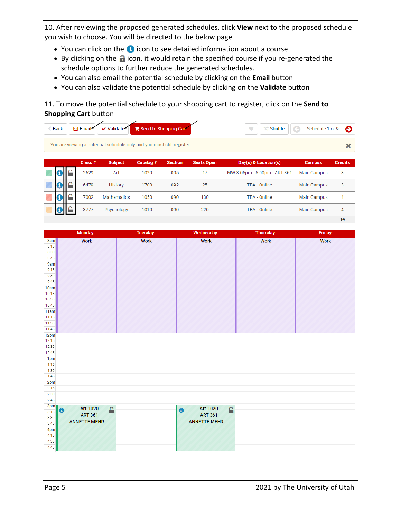10. After reviewing the proposed generated schedules, click View next to the proposed schedule you wish to choose. You will be directed to the below page

- You can click on the **i** icon to see detailed information about a course
- By clicking on the **i** icon, it would retain the specified course if you re-generated the schedule options to further reduce the generated schedules.
- You can also email the potential schedule by clicking on the **Email** button
- You can also validate the potential schedule by clicking on the **Validate** button

# 11. To move the potential schedule to your shopping cart to register, click on the Send to **Shopping Cart** button

| <b>Back</b>      | $\boxdot$ Email | ✔ Validate                                                             | Send to Shopping Cart |                |                   | <b>DC</b> Shuffle<br>$\bullet$ | $\bigodot$<br>Schedule 1 of 9 | Θ              |
|------------------|-----------------|------------------------------------------------------------------------|-----------------------|----------------|-------------------|--------------------------------|-------------------------------|----------------|
|                  |                 | You are viewing a potential schedule only and you must still register. |                       |                |                   |                                |                               | ×              |
|                  | Class $#$       | <b>Subject</b>                                                         | Catalog #             | <b>Section</b> | <b>Seats Open</b> | Day(s) & Location(s)           | <b>Campus</b>                 | <b>Credits</b> |
| 0                | 2629            | Art                                                                    | 1020                  | 005            | 17                | MW 3:05pm - 5:00pm - ART 361   | <b>Main Campus</b>            | 3              |
| $\mathbf \Theta$ | 6479            | History                                                                | 1700                  | 092            | 25                | TBA - Online                   | <b>Main Campus</b>            | 3              |
| 0 E              | 7002            | Mathematics                                                            | 1050                  | 090            | 130               | TBA - Online                   | <b>Main Campus</b>            | 4              |
|                  | 3777            | Psychology                                                             | 1010                  | 090            | 220               | TBA - Online                   | <b>Main Campus</b>            | $\overline{4}$ |
|                  |                 |                                                                        |                       |                |                   |                                |                               | 14             |

|                | <b>Monday</b>              | <b>Tuesday</b> | <b>Wednesday</b>           | <b>Thursday</b> | Friday      |
|----------------|----------------------------|----------------|----------------------------|-----------------|-------------|
| 8am            | <b>Work</b>                | <b>Work</b>    | <b>Work</b>                | <b>Work</b>     | <b>Work</b> |
| 8:15           |                            |                |                            |                 |             |
| 8:30           |                            |                |                            |                 |             |
| 8:45           |                            |                |                            |                 |             |
| 9am            |                            |                |                            |                 |             |
| 9:15           |                            |                |                            |                 |             |
| 9:30           |                            |                |                            |                 |             |
| 9:45           |                            |                |                            |                 |             |
| 10am           |                            |                |                            |                 |             |
| 10:15<br>10:30 |                            |                |                            |                 |             |
| 10:45          |                            |                |                            |                 |             |
| 11am           |                            |                |                            |                 |             |
| 11:15          |                            |                |                            |                 |             |
| 11:30          |                            |                |                            |                 |             |
| 11:45          |                            |                |                            |                 |             |
| 12pm           |                            |                |                            |                 |             |
| 12:15          |                            |                |                            |                 |             |
| 12:30          |                            |                |                            |                 |             |
| 12:45          |                            |                |                            |                 |             |
| 1pm            |                            |                |                            |                 |             |
| 1:15           |                            |                |                            |                 |             |
| 1:30           |                            |                |                            |                 |             |
| 1:45           |                            |                |                            |                 |             |
| 2pm            |                            |                |                            |                 |             |
| 2:15           |                            |                |                            |                 |             |
| 2:30           |                            |                |                            |                 |             |
| 2:45           |                            |                |                            |                 |             |
| 3pm<br>3:15    | Art-1020<br>A<br>$\bullet$ |                | Art-1020<br>€<br>$\bullet$ |                 |             |
| 3:30           | <b>ART 361</b>             |                | <b>ART 361</b>             |                 |             |
| 3:45           | <b>ANNETTE MEHR</b>        |                | <b>ANNETTE MEHR</b>        |                 |             |
| 4pm            |                            |                |                            |                 |             |
| 4:15           |                            |                |                            |                 |             |
| 4:30           |                            |                |                            |                 |             |
| 4:45           |                            |                |                            |                 |             |
| ÷,             |                            |                |                            |                 |             |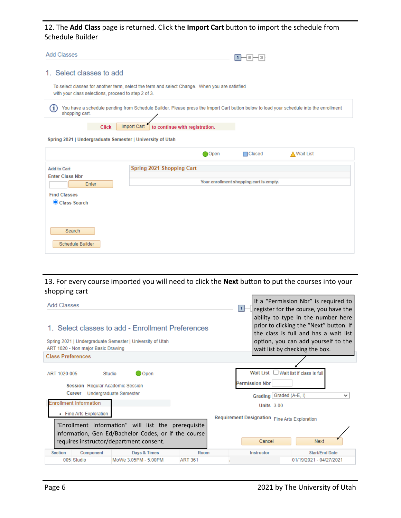## 12. The Add Class page is returned. Click the Import Cart button to import the schedule from Schedule Builder

| Add Classes                                               |                                                                                                                                        |       | Е                                       |             |
|-----------------------------------------------------------|----------------------------------------------------------------------------------------------------------------------------------------|-------|-----------------------------------------|-------------|
| 1. Select classes to add                                  |                                                                                                                                        |       |                                         |             |
| with your class selections, proceed to step 2 of 3.       | To select classes for another term, select the term and select Change. When you are satisfied                                          |       |                                         |             |
| shopping cart.                                            | You have a schedule pending from Schedule Builder. Please press the Import Cart button below to load your schedule into the enrollment |       |                                         |             |
| <b>Click</b>                                              | to continue with registration.<br>Import Cart                                                                                          |       |                                         |             |
| Spring 2021   Undergraduate Semester   University of Utah |                                                                                                                                        |       |                                         |             |
|                                                           |                                                                                                                                        | ∩Open | $\Box$ Closed                           | ∧ Wait List |
| Add to Cart<br><b>Enter Class Nbr</b><br>Enter            | Spring 2021 Shopping Cart                                                                                                              |       | Your enrollment shopping cart is empty. |             |

13. For every course imported you will need to click the Next button to put the courses into your shopping cart

| <b>Add Classes</b> | 1. Select classes to add - Enrollment Preferences<br>Spring 2021   Undergraduate Semester   University of Utah<br>ART 1020 - Non major Basic Drawing<br><b>Class Preferences</b><br><b>D</b> Open<br>Studio<br><b>Session</b> Regular Academic Session<br>Undergraduate Semester<br>Career<br><b>Enrollment Information</b><br>• Fine Arts Exploration<br>"Enrollment Information" will list the prerequisite<br>information, Gen Ed/Bachelor Codes, or if the course<br>requires instructor/department consent.<br><b>Section</b><br>Days & Times<br>Room<br>Component<br>005 Studio<br><b>ART 361</b> |                      |  | If a "Permission Nbr" is required to<br>register for the course, you have the<br>ability to type in the number here<br>prior to clicking the "Next" button. If<br>the class is full and has a wait list<br>option, you can add yourself to the<br>wait list by checking the box. |                                              |                                            |
|--------------------|---------------------------------------------------------------------------------------------------------------------------------------------------------------------------------------------------------------------------------------------------------------------------------------------------------------------------------------------------------------------------------------------------------------------------------------------------------------------------------------------------------------------------------------------------------------------------------------------------------|----------------------|--|----------------------------------------------------------------------------------------------------------------------------------------------------------------------------------------------------------------------------------------------------------------------------------|----------------------------------------------|--------------------------------------------|
|                    |                                                                                                                                                                                                                                                                                                                                                                                                                                                                                                                                                                                                         |                      |  |                                                                                                                                                                                                                                                                                  |                                              |                                            |
| ART 1020-005       |                                                                                                                                                                                                                                                                                                                                                                                                                                                                                                                                                                                                         |                      |  | Wait List<br><b>Permission Nbr</b><br>Requirement Designation Fine Arts Exploration                                                                                                                                                                                              | Grading Graded (A-E, I)<br><b>Units 3.00</b> | Wait list if class is full<br>$\checkmark$ |
|                    |                                                                                                                                                                                                                                                                                                                                                                                                                                                                                                                                                                                                         |                      |  | Cancel<br>Instructor                                                                                                                                                                                                                                                             |                                              | Next<br><b>Start/End Date</b>              |
|                    |                                                                                                                                                                                                                                                                                                                                                                                                                                                                                                                                                                                                         | MoWe 3:05PM - 5:00PM |  |                                                                                                                                                                                                                                                                                  |                                              | 01/19/2021 - 04/27/2021                    |

**Find Classes** Class Search

Search

Schedule Builder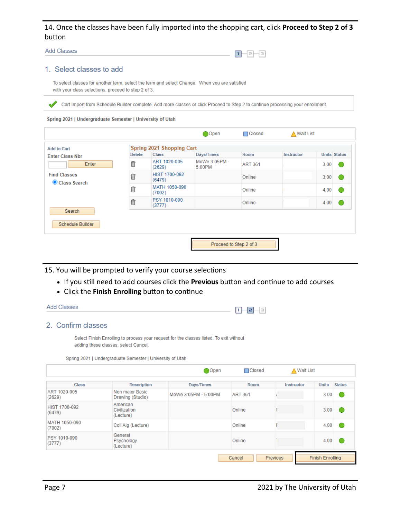## 14. Once the classes have been fully imported into the shopping cart, click **Proceed to Step 2 of 3** button

**Add Classes** 

|  | ______ | and the state of the state of |  |
|--|--------|-------------------------------|--|

### 1. Select classes to add

To select classes for another term, select the term and select Change. When you are satisfied with your class selections, proceed to step 2 of 3.

Cart Import from Schedule Builder complete. Add more classes or click Proceed to Step 2 to continue processing your enrollment.

#### Spring 2021 | Undergraduate Semester | University of Utah

|                                     |               |                           | Open                    | $\Box$ Closed  | <b>△ Wait List</b> |                     |  |  |  |
|-------------------------------------|---------------|---------------------------|-------------------------|----------------|--------------------|---------------------|--|--|--|
| <b>Add to Cart</b>                  |               | Spring 2021 Shopping Cart |                         |                |                    |                     |  |  |  |
| <b>Enter Class Nbr</b><br>Enter     | <b>Delete</b> | <b>Class</b>              | Days/Times              | Room           | Instructor         | <b>Units Status</b> |  |  |  |
|                                     | Î             | ART 1020-005<br>(2629)    | MoWe 3:05PM -<br>5:00PM | <b>ART 361</b> |                    | 3.00                |  |  |  |
| <b>Find Classes</b><br>Class Search | fi            | HIST 1700-092<br>(6479)   |                         | Online         |                    | 3.00                |  |  |  |
|                                     | fi            | MATH 1050-090<br>(7002)   |                         | Online         |                    | 4.00                |  |  |  |
|                                     | fi            | PSY 1010-090<br>(3777)    |                         | Online         |                    | 4.00                |  |  |  |
| Search<br>Schedule Builder          |               |                           |                         |                |                    |                     |  |  |  |
|                                     |               |                           |                         |                |                    |                     |  |  |  |
|                                     |               |                           | Proceed to Step 2 of 3  |                |                    |                     |  |  |  |

15. You will be prompted to verify your course selections

- If you still need to add courses click the **Previous** button and continue to add courses
- Click the Finish Enrolling button to continue

| <b>Add Classes</b> | -<br>-<br>_ |
|--------------------|-------------|
|--------------------|-------------|

### 2. Confirm classes

Select Finish Enrolling to process your request for the classes listed. To exit without adding these classes, select Cancel.

Spring 2021 | Undergraduate Semester | University of Utah

|                         |                                       | Open                 | $\Box$ Closed      | ∧ Wait List |              |                         |  |  |
|-------------------------|---------------------------------------|----------------------|--------------------|-------------|--------------|-------------------------|--|--|
| <b>Class</b>            | <b>Description</b>                    | Days/Times           | Room               | Instructor  | <b>Units</b> | <b>Status</b>           |  |  |
| ART 1020-005<br>(2629)  | Non major Basic<br>Drawing (Studio)   | MoWe 3:05PM - 5:00PM | <b>ART 361</b>     |             | 3.00         |                         |  |  |
| HIST 1700-092<br>(6479) | American<br>Civilization<br>(Lecture) |                      | Online             |             | 3.00         |                         |  |  |
| MATH 1050-090<br>(7002) | Coll Alg (Lecture)                    |                      | Online             |             | 4.00         |                         |  |  |
| PSY 1010-090<br>(3777)  | General<br>Psychology<br>(Lecture)    |                      | Online             |             | 4.00         |                         |  |  |
|                         |                                       |                      | Cancel<br>Previous |             |              | <b>Finish Enrolling</b> |  |  |